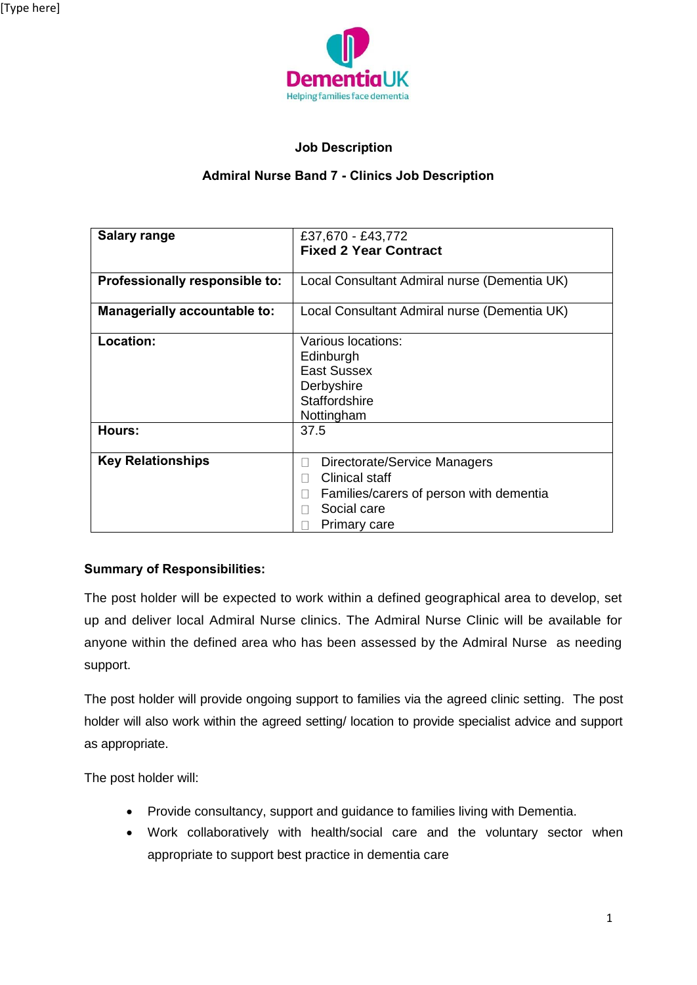

## **Job Description**

## **Admiral Nurse Band 7 - Clinics Job Description**

| <b>Salary range</b>            | £37,670 - £43,772<br><b>Fixed 2 Year Contract</b> |  |  |
|--------------------------------|---------------------------------------------------|--|--|
|                                |                                                   |  |  |
| Professionally responsible to: | Local Consultant Admiral nurse (Dementia UK)      |  |  |
| Managerially accountable to:   | Local Consultant Admiral nurse (Dementia UK)      |  |  |
| Location:                      | Various locations:                                |  |  |
|                                | Edinburgh                                         |  |  |
|                                | <b>East Sussex</b>                                |  |  |
|                                | Derbyshire                                        |  |  |
|                                | Staffordshire                                     |  |  |
|                                | Nottingham                                        |  |  |
| Hours:                         | 37.5                                              |  |  |
|                                |                                                   |  |  |
| <b>Key Relationships</b>       | Directorate/Service Managers<br>$\mathbf{L}$      |  |  |
|                                | Clinical staff                                    |  |  |
|                                | Families/carers of person with dementia           |  |  |
|                                | Social care                                       |  |  |
|                                | Primary care                                      |  |  |

## **Summary of Responsibilities:**

The post holder will be expected to work within a defined geographical area to develop, set up and deliver local Admiral Nurse clinics. The Admiral Nurse Clinic will be available for anyone within the defined area who has been assessed by the Admiral Nurse as needing support.

The post holder will provide ongoing support to families via the agreed clinic setting. The post holder will also work within the agreed setting/ location to provide specialist advice and support as appropriate.

The post holder will:

- Provide consultancy, support and guidance to families living with Dementia.
- Work collaboratively with health/social care and the voluntary sector when appropriate to support best practice in dementia care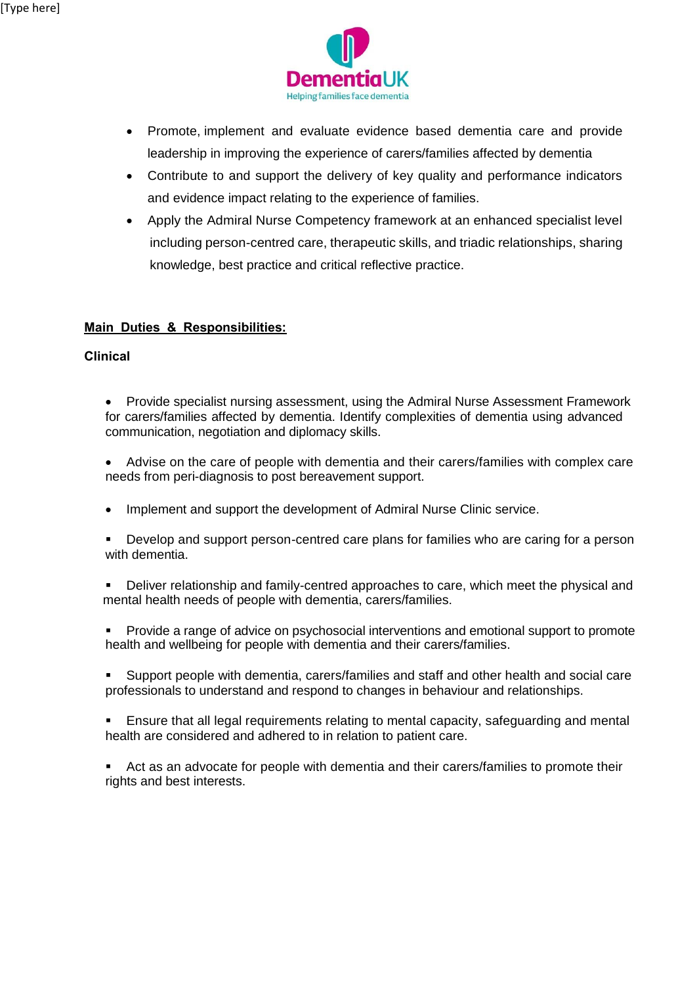

- Promote, implement and evaluate evidence based dementia care and provide leadership in improving the experience of carers/families affected by dementia
- Contribute to and support the delivery of key quality and performance indicators and evidence impact relating to the experience of families.
- Apply the Admiral Nurse Competency framework at an enhanced specialist level including person-centred care, therapeutic skills, and triadic relationships, sharing knowledge, best practice and critical reflective practice.

## **Main Duties & Responsibilities:**

### **Clinical**

- Provide specialist nursing assessment, using the Admiral Nurse Assessment Framework for carers/families affected by dementia. Identify complexities of dementia using advanced communication, negotiation and diplomacy skills.
- Advise on the care of people with dementia and their carers/families with complex care needs from peri-diagnosis to post bereavement support.
- Implement and support the development of Admiral Nurse Clinic service.
- Develop and support person-centred care plans for families who are caring for a person with dementia.
- **•** Deliver relationship and family-centred approaches to care, which meet the physical and mental health needs of people with dementia, carers/families.
- Provide a range of advice on psychosocial interventions and emotional support to promote health and wellbeing for people with dementia and their carers/families.
- Support people with dementia, carers/families and staff and other health and social care professionals to understand and respond to changes in behaviour and relationships.
- Ensure that all legal requirements relating to mental capacity, safeguarding and mental health are considered and adhered to in relation to patient care.
- Act as an advocate for people with dementia and their carers/families to promote their rights and best interests.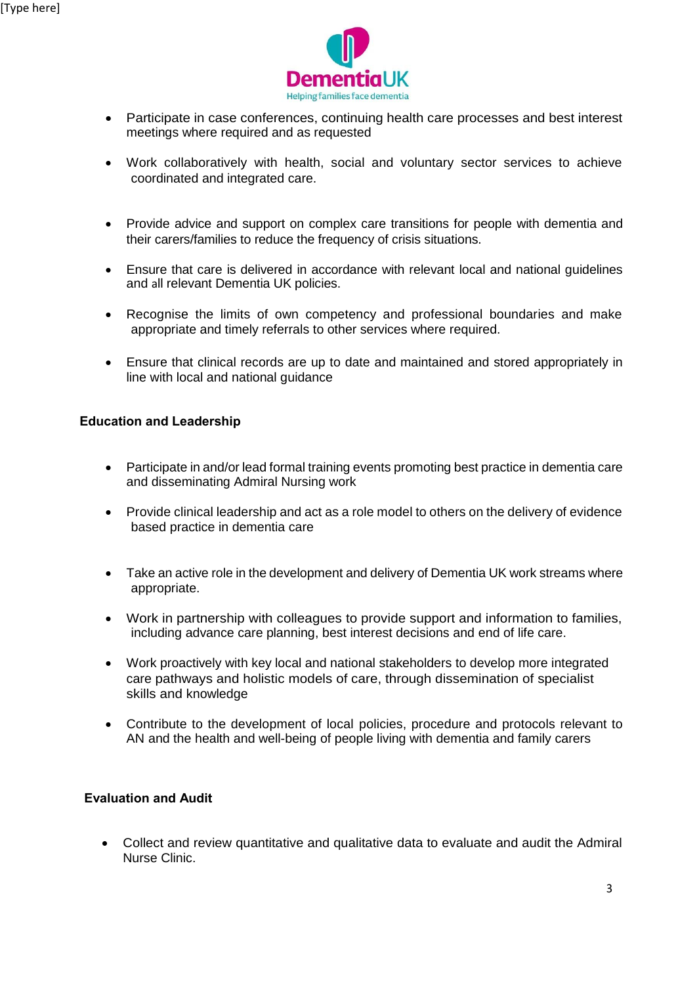

- Participate in case conferences, continuing health care processes and best interest meetings where required and as requested
- Work collaboratively with health, social and voluntary sector services to achieve coordinated and integrated care.
- Provide advice and support on complex care transitions for people with dementia and their carers/families to reduce the frequency of crisis situations.
- Ensure that care is delivered in accordance with relevant local and national guidelines and all relevant Dementia UK policies.
- Recognise the limits of own competency and professional boundaries and make appropriate and timely referrals to other services where required.
- Ensure that clinical records are up to date and maintained and stored appropriately in line with local and national guidance

### **Education and Leadership**

- Participate in and/or lead formal training events promoting best practice in dementia care and disseminating Admiral Nursing work
- Provide clinical leadership and act as a role model to others on the delivery of evidence based practice in dementia care
- Take an active role in the development and delivery of Dementia UK work streams where appropriate.
- Work in partnership with colleagues to provide support and information to families, including advance care planning, best interest decisions and end of life care.
- Work proactively with key local and national stakeholders to develop more integrated care pathways and holistic models of care, through dissemination of specialist skills and knowledge
- Contribute to the development of local policies, procedure and protocols relevant to AN and the health and well-being of people living with dementia and family carers

### **Evaluation and Audit**

 Collect and review quantitative and qualitative data to evaluate and audit the Admiral Nurse Clinic.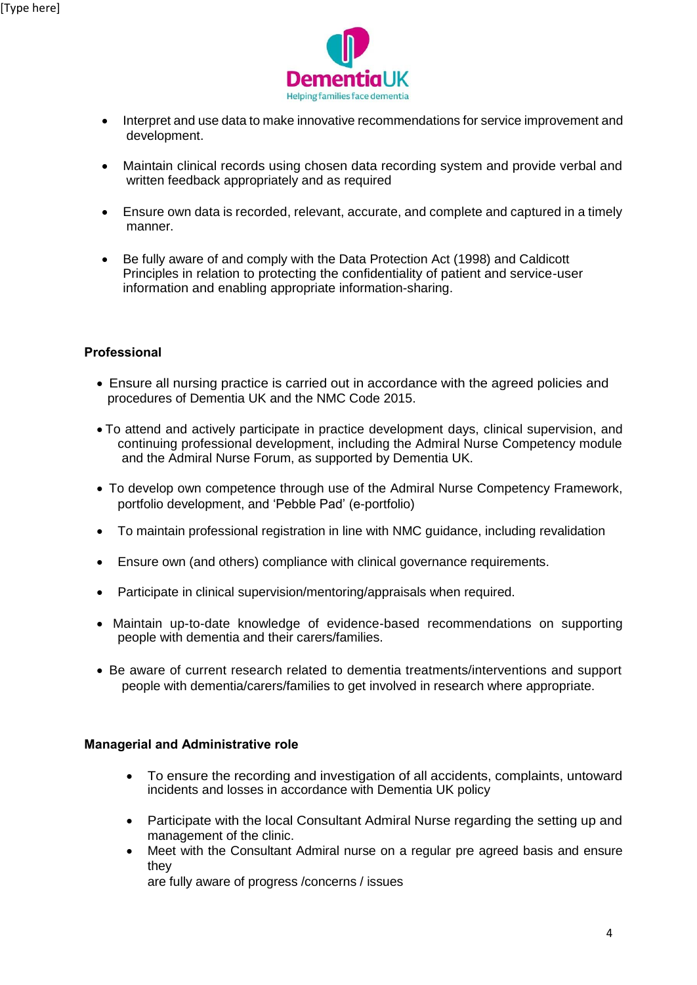

- Interpret and use data to make innovative recommendations for service improvement and development.
- Maintain clinical records using chosen data recording system and provide verbal and written feedback appropriately and as required
- Ensure own data is recorded, relevant, accurate, and complete and captured in a timely manner.
- Be fully aware of and comply with the Data Protection Act (1998) and Caldicott Principles in relation to protecting the confidentiality of patient and service-user information and enabling appropriate information-sharing.

## **Professional**

- Ensure all nursing practice is carried out in accordance with the agreed policies and procedures of Dementia UK and the NMC Code 2015.
- To attend and actively participate in practice development days, clinical supervision, and continuing professional development, including the Admiral Nurse Competency module and the Admiral Nurse Forum, as supported by Dementia UK.
- To develop own competence through use of the Admiral Nurse Competency Framework, portfolio development, and 'Pebble Pad' (e-portfolio)
- To maintain professional registration in line with NMC guidance, including revalidation
- Ensure own (and others) compliance with clinical governance requirements.
- Participate in clinical supervision/mentoring/appraisals when required.
- Maintain up-to-date knowledge of evidence-based recommendations on supporting people with dementia and their carers/families.
- Be aware of current research related to dementia treatments/interventions and support people with dementia/carers/families to get involved in research where appropriate.

#### **Managerial and Administrative role**

- To ensure the recording and investigation of all accidents, complaints, untoward incidents and losses in accordance with Dementia UK policy
- Participate with the local Consultant Admiral Nurse regarding the setting up and management of the clinic.
- Meet with the Consultant Admiral nurse on a regular pre agreed basis and ensure they

are fully aware of progress /concerns / issues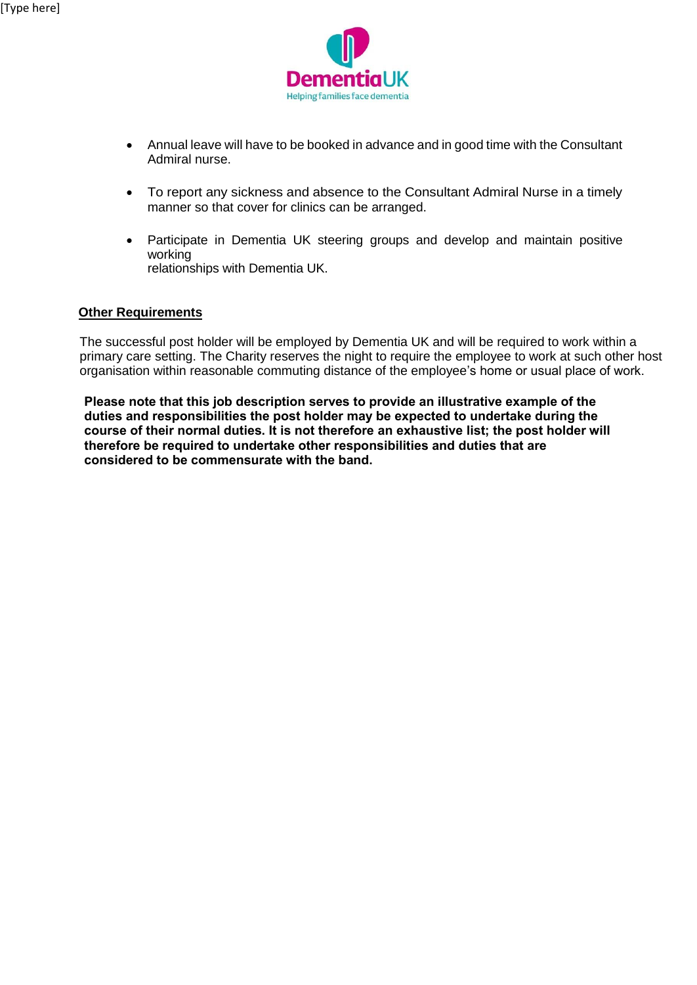

- Annual leave will have to be booked in advance and in good time with the Consultant Admiral nurse.
- To report any sickness and absence to the Consultant Admiral Nurse in a timely manner so that cover for clinics can be arranged.
- Participate in Dementia UK steering groups and develop and maintain positive working relationships with Dementia UK.

### **Other Requirements**

The successful post holder will be employed by Dementia UK and will be required to work within a primary care setting. The Charity reserves the night to require the employee to work at such other host organisation within reasonable commuting distance of the employee's home or usual place of work.

**Please note that this job description serves to provide an illustrative example of the duties and responsibilities the post holder may be expected to undertake during the course of their normal duties. It is not therefore an exhaustive list; the post holder will therefore be required to undertake other responsibilities and duties that are considered to be commensurate with the band.**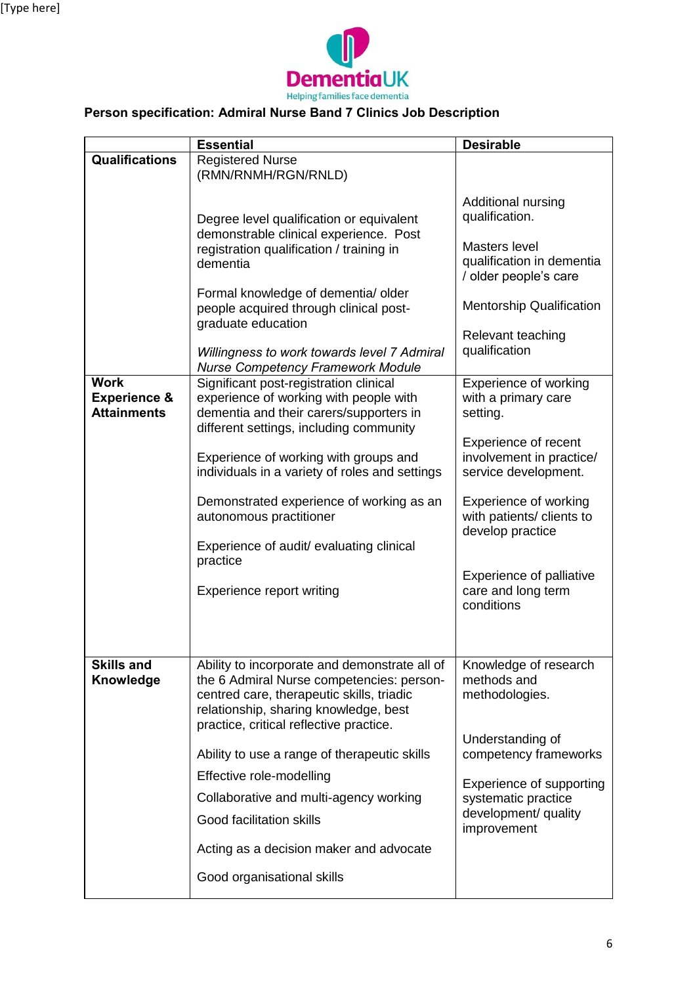

# **Person specification: Admiral Nurse Band 7 Clinics Job Description**

|                                               | <b>Essential</b>                                                                                                                                                                                                                                                                                                                                                                                              | <b>Desirable</b>                                                                                                                                                                                              |
|-----------------------------------------------|---------------------------------------------------------------------------------------------------------------------------------------------------------------------------------------------------------------------------------------------------------------------------------------------------------------------------------------------------------------------------------------------------------------|---------------------------------------------------------------------------------------------------------------------------------------------------------------------------------------------------------------|
| <b>Qualifications</b>                         | <b>Registered Nurse</b>                                                                                                                                                                                                                                                                                                                                                                                       |                                                                                                                                                                                                               |
| <b>Work</b>                                   | (RMN/RNMH/RGN/RNLD)<br>Degree level qualification or equivalent<br>demonstrable clinical experience. Post<br>registration qualification / training in<br>dementia<br>Formal knowledge of dementia/ older<br>people acquired through clinical post-<br>graduate education<br>Willingness to work towards level 7 Admiral<br><b>Nurse Competency Framework Module</b><br>Significant post-registration clinical | Additional nursing<br>qualification.<br>Masters level<br>qualification in dementia<br>/ older people's care<br><b>Mentorship Qualification</b><br>Relevant teaching<br>qualification<br>Experience of working |
| <b>Experience &amp;</b><br><b>Attainments</b> | experience of working with people with<br>dementia and their carers/supporters in                                                                                                                                                                                                                                                                                                                             | with a primary care<br>setting.                                                                                                                                                                               |
|                                               | different settings, including community<br>Experience of working with groups and<br>individuals in a variety of roles and settings                                                                                                                                                                                                                                                                            | Experience of recent<br>involvement in practice/<br>service development.                                                                                                                                      |
|                                               | Demonstrated experience of working as an<br>autonomous practitioner<br>Experience of audit/ evaluating clinical                                                                                                                                                                                                                                                                                               | Experience of working<br>with patients/ clients to<br>develop practice                                                                                                                                        |
|                                               | practice<br>Experience report writing                                                                                                                                                                                                                                                                                                                                                                         | Experience of palliative<br>care and long term<br>conditions                                                                                                                                                  |
| <b>Skills and</b><br>Knowledge                | Ability to incorporate and demonstrate all of<br>the 6 Admiral Nurse competencies: person-<br>centred care, therapeutic skills, triadic<br>relationship, sharing knowledge, best<br>practice, critical reflective practice.                                                                                                                                                                                   | Knowledge of research<br>methods and<br>methodologies.                                                                                                                                                        |
|                                               | Ability to use a range of therapeutic skills                                                                                                                                                                                                                                                                                                                                                                  | Understanding of<br>competency frameworks                                                                                                                                                                     |
|                                               | Effective role-modelling<br>Collaborative and multi-agency working<br>Good facilitation skills                                                                                                                                                                                                                                                                                                                | Experience of supporting<br>systematic practice<br>development/ quality<br>improvement                                                                                                                        |
|                                               | Acting as a decision maker and advocate                                                                                                                                                                                                                                                                                                                                                                       |                                                                                                                                                                                                               |
|                                               | Good organisational skills                                                                                                                                                                                                                                                                                                                                                                                    |                                                                                                                                                                                                               |